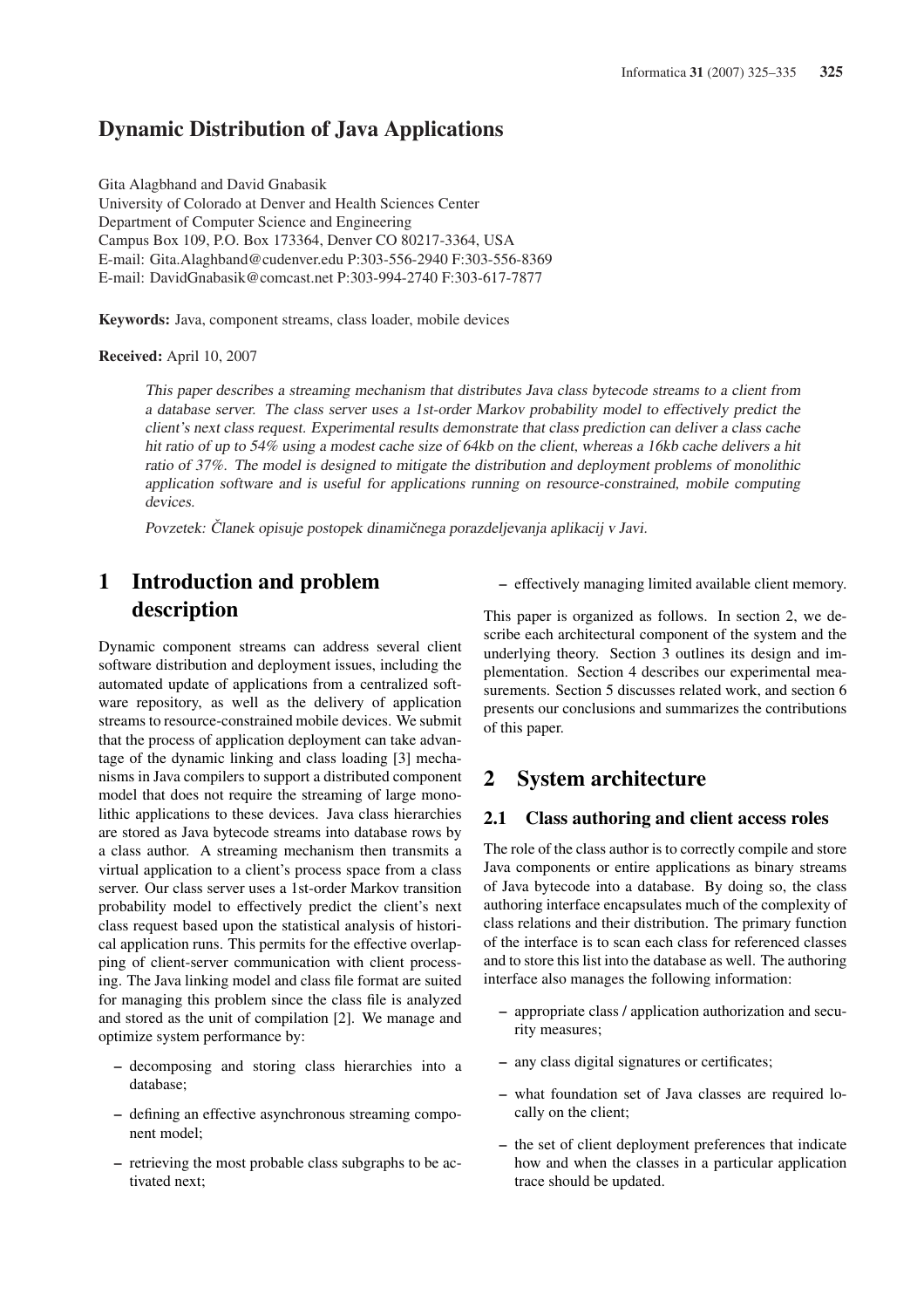# Dynamic Distribution of Java Applications

Gita Alagbhand and David Gnabasik University of Colorado at Denver and Health Sciences Center Department of Computer Science and Engineering Campus Box 109, P.O. Box 173364, Denver CO 80217-3364, USA E-mail: Gita.Alaghband@cudenver.edu P:303-556-2940 F:303-556-8369 E-mail: DavidGnabasik@comcast.net P:303-994-2740 F:303-617-7877

Keywords: Java, component streams, class loader, mobile devices

Received: April 10, 2007

This paper describes <sup>a</sup> streaming mechanism that distributes Java class bytecode streams to <sup>a</sup> client from <sup>a</sup> database server. The class server uses <sup>a</sup> 1st-order Markov probability model to effectively predict the client's next class request. Experimental results demonstrate that class prediction can deliver <sup>a</sup> class cache hit ratio of up to 54% using a modest cache size of 64kb on the client, whereas a 16kb cache delivers a hit ratio of 37%. The model is designed to mitigate the distribution and deployment problems of monolithic application software and is useful for applications running on resource-constrained, mobile computing devices.

Povzetek: Članek opisuje postopek dinamičnega porazdeljevanja aplikacij v Javi.

# 1 Introduction and problem description

Dynamic component streams can address several client software distribution and deployment issues, including the automated update of applications from a centralized software repository, as well as the delivery of application streams to resource-constrained mobile devices. We submit that the process of application deployment can take advantage of the dynamic linking and class loading [3] mechanisms in Java compilers to support a distributed component model that does not require the streaming of large monolithic applications to these devices. Java class hierarchies are stored as Java bytecode streams into database rows by a class author. A streaming mechanism then transmits a virtual application to a client's process space from a class server. Our class server uses a 1st-order Markov transition probability model to effectively predict the client's next class request based upon the statistical analysis of historical application runs. This permits for the effective overlapping of client-server communication with client processing. The Java linking model and class file format are suited for managing this problem since the class file is analyzed and stored as the unit of compilation [2]. We manage and optimize system performance by:

- decomposing and storing class hierarchies into a database;
- defining an effective asynchronous streaming component model;
- retrieving the most probable class subgraphs to be activated next;

– effectively managing limited available client memory.

This paper is organized as follows. In section 2, we describe each architectural component of the system and the underlying theory. Section 3 outlines its design and implementation. Section 4 describes our experimental measurements. Section 5 discusses related work, and section 6 presents our conclusions and summarizes the contributions of this paper.

## 2 System architecture

#### 2.1 Class authoring and client access roles

The role of the class author is to correctly compile and store Java components or entire applications as binary streams of Java bytecode into a database. By doing so, the class authoring interface encapsulates much of the complexity of class relations and their distribution. The primary function of the interface is to scan each class for referenced classes and to store this list into the database as well. The authoring interface also manages the following information:

- appropriate class / application authorization and security measures;
- any class digital signatures or certificates;
- what foundation set of Java classes are required locally on the client;
- the set of client deployment preferences that indicate how and when the classes in a particular application trace should be updated.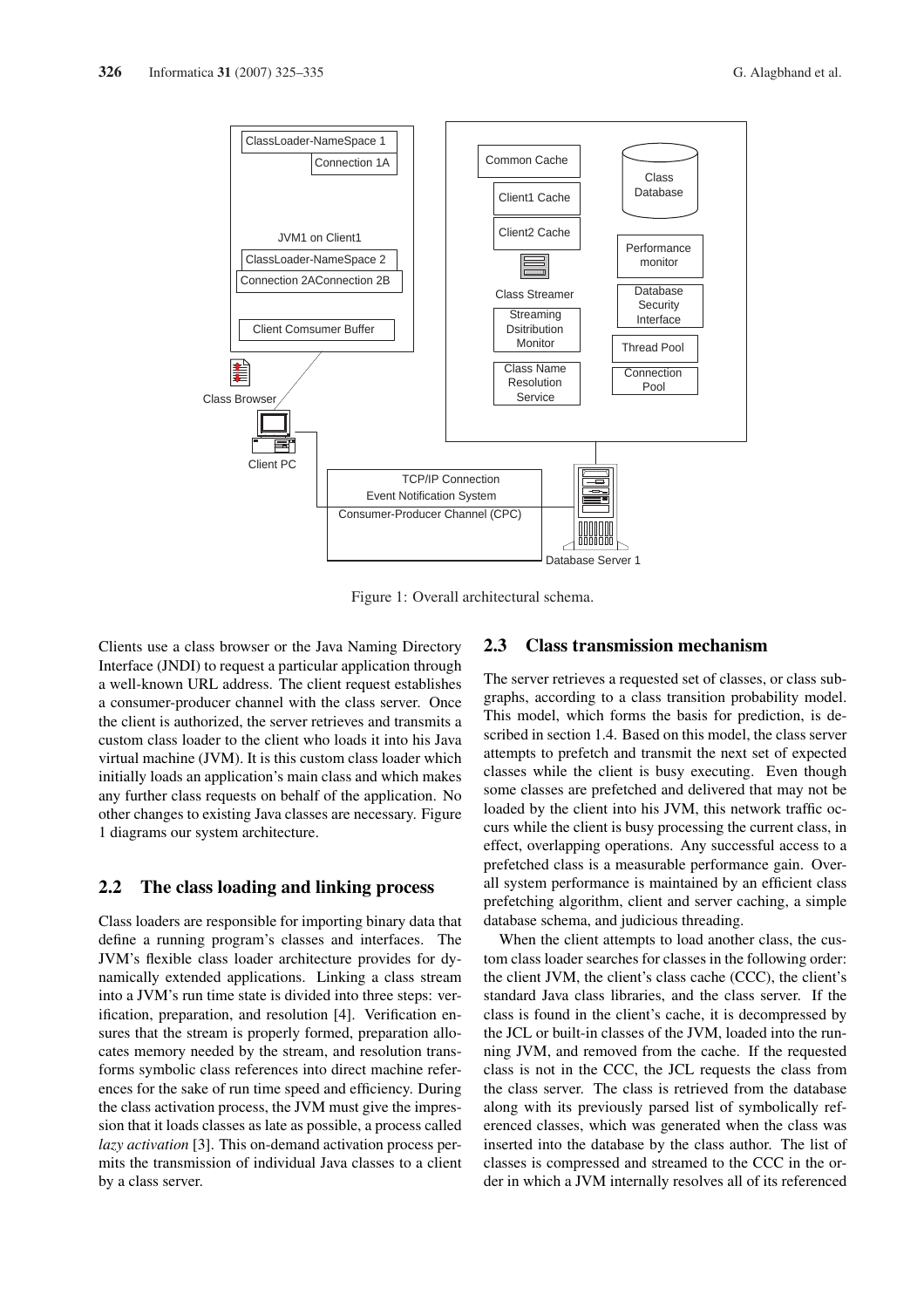

Figure 1: Overall architectural schema.

Clients use a class browser or the Java Naming Directory Interface (JNDI) to request a particular application through a well-known URL address. The client request establishes a consumer-producer channel with the class server. Once the client is authorized, the server retrieves and transmits a custom class loader to the client who loads it into his Java virtual machine (JVM). It is this custom class loader which initially loads an application's main class and which makes any further class requests on behalf of the application. No other changes to existing Java classes are necessary. Figure 1 diagrams our system architecture.

#### 2.2 The class loading and linking process

Class loaders are responsible for importing binary data that define a running program's classes and interfaces. The JVM's flexible class loader architecture provides for dynamically extended applications. Linking a class stream into a JVM's run time state is divided into three steps: verification, preparation, and resolution [4]. Verification ensures that the stream is properly formed, preparation allocates memory needed by the stream, and resolution transforms symbolic class references into direct machine references for the sake of run time speed and efficiency. During the class activation process, the JVM must give the impression that it loads classes as late as possible, a process called *lazy activation* [3]. This on-demand activation process permits the transmission of individual Java classes to a client by a class server.

### 2.3 Class transmission mechanism

The server retrieves a requested set of classes, or class subgraphs, according to a class transition probability model. This model, which forms the basis for prediction, is described in section 1.4. Based on this model, the class server attempts to prefetch and transmit the next set of expected classes while the client is busy executing. Even though some classes are prefetched and delivered that may not be loaded by the client into his JVM, this network traffic occurs while the client is busy processing the current class, in effect, overlapping operations. Any successful access to a prefetched class is a measurable performance gain. Overall system performance is maintained by an efficient class prefetching algorithm, client and server caching, a simple database schema, and judicious threading.

When the client attempts to load another class, the custom class loader searches for classes in the following order: the client JVM, the client's class cache (CCC), the client's standard Java class libraries, and the class server. If the class is found in the client's cache, it is decompressed by the JCL or built-in classes of the JVM, loaded into the running JVM, and removed from the cache. If the requested class is not in the CCC, the JCL requests the class from the class server. The class is retrieved from the database along with its previously parsed list of symbolically referenced classes, which was generated when the class was inserted into the database by the class author. The list of classes is compressed and streamed to the CCC in the order in which a JVM internally resolves all of its referenced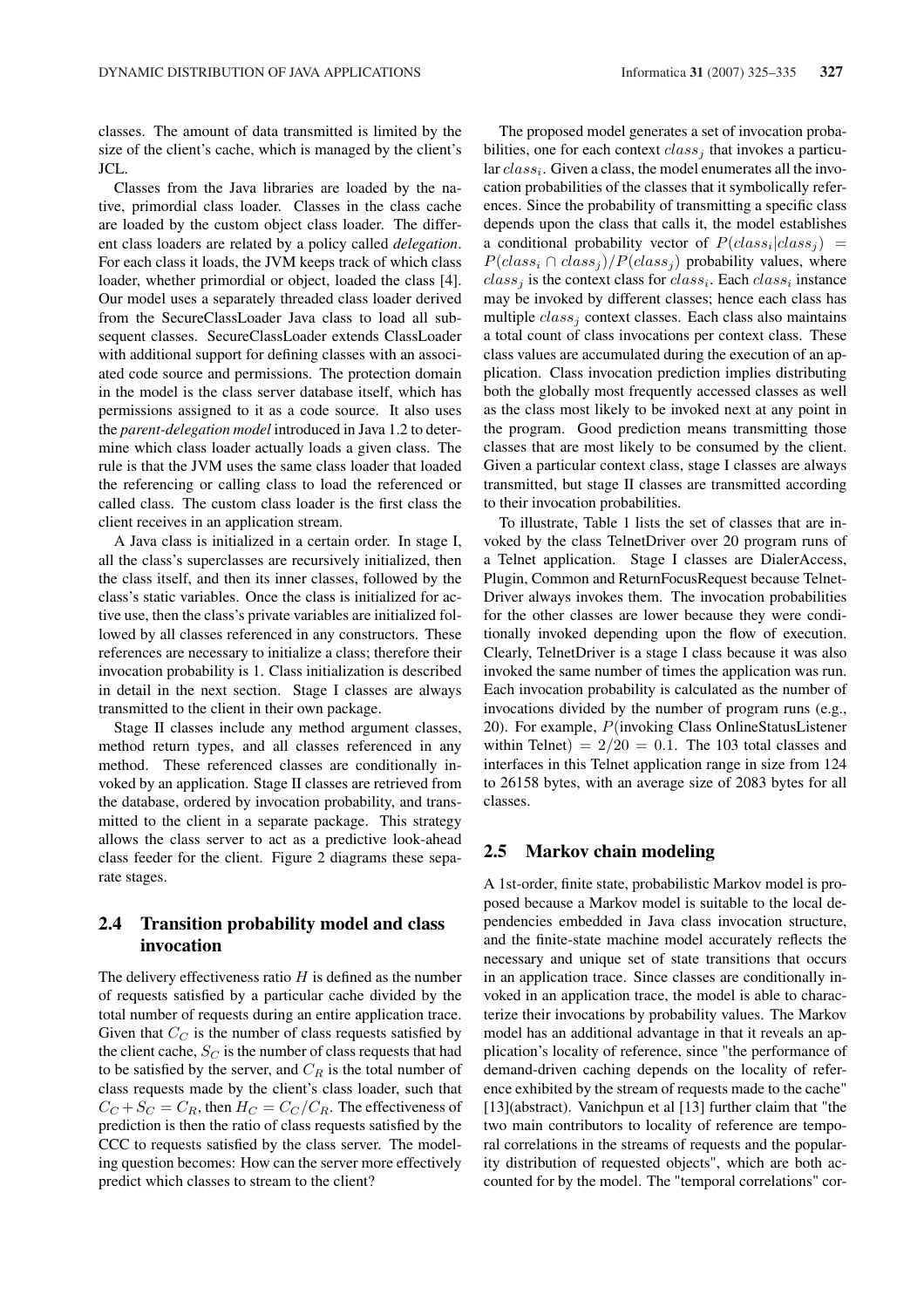classes. The amount of data transmitted is limited by the size of the client's cache, which is managed by the client's JCL.

Classes from the Java libraries are loaded by the native, primordial class loader. Classes in the class cache are loaded by the custom object class loader. The different class loaders are related by a policy called *delegation*. For each class it loads, the JVM keeps track of which class loader, whether primordial or object, loaded the class [4]. Our model uses a separately threaded class loader derived from the SecureClassLoader Java class to load all subsequent classes. SecureClassLoader extends ClassLoader with additional support for defining classes with an associated code source and permissions. The protection domain in the model is the class server database itself, which has permissions assigned to it as a code source. It also uses the *parent-delegation model* introduced in Java 1.2 to determine which class loader actually loads a given class. The rule is that the JVM uses the same class loader that loaded the referencing or calling class to load the referenced or called class. The custom class loader is the first class the client receives in an application stream.

A Java class is initialized in a certain order. In stage I, all the class's superclasses are recursively initialized, then the class itself, and then its inner classes, followed by the class's static variables. Once the class is initialized for active use, then the class's private variables are initialized followed by all classes referenced in any constructors. These references are necessary to initialize a class; therefore their invocation probability is 1. Class initialization is described in detail in the next section. Stage I classes are always transmitted to the client in their own package.

Stage II classes include any method argument classes, method return types, and all classes referenced in any method. These referenced classes are conditionally invoked by an application. Stage II classes are retrieved from the database, ordered by invocation probability, and transmitted to the client in a separate package. This strategy allows the class server to act as a predictive look-ahead class feeder for the client. Figure 2 diagrams these separate stages.

### 2.4 Transition probability model and class invocation

The delivery effectiveness ratio  $H$  is defined as the number of requests satisfied by a particular cache divided by the total number of requests during an entire application trace. Given that  $C_C$  is the number of class requests satisfied by the client cache,  $S_C$  is the number of class requests that had to be satisfied by the server, and  $C_R$  is the total number of class requests made by the client's class loader, such that  $C_C + S_C = C_R$ , then  $H_C = C_C / C_R$ . The effectiveness of prediction is then the ratio of class requests satisfied by the CCC to requests satisfied by the class server. The modeling question becomes: How can the server more effectively predict which classes to stream to the client?

The proposed model generates a set of invocation probabilities, one for each context  $class<sub>i</sub>$  that invokes a particular  $class_i$ . Given a class, the model enumerates all the invocation probabilities of the classes that it symbolically references. Since the probability of transmitting a specific class depends upon the class that calls it, the model establishes a conditional probability vector of  $P(class_i|class_j)$  =  $P(class_i \cap class_j)/P(class_j)$  probability values, where  $class_j$  is the context class for  $class_i$ . Each  $class_i$  instance may be invoked by different classes; hence each class has multiple  $class_i$  context classes. Each class also maintains a total count of class invocations per context class. These class values are accumulated during the execution of an application. Class invocation prediction implies distributing both the globally most frequently accessed classes as well as the class most likely to be invoked next at any point in the program. Good prediction means transmitting those classes that are most likely to be consumed by the client. Given a particular context class, stage I classes are always transmitted, but stage II classes are transmitted according to their invocation probabilities.

To illustrate, Table 1 lists the set of classes that are invoked by the class TelnetDriver over 20 program runs of a Telnet application. Stage I classes are DialerAccess, Plugin, Common and ReturnFocusRequest because Telnet-Driver always invokes them. The invocation probabilities for the other classes are lower because they were conditionally invoked depending upon the flow of execution. Clearly, TelnetDriver is a stage I class because it was also invoked the same number of times the application was run. Each invocation probability is calculated as the number of invocations divided by the number of program runs (e.g., 20). For example, P(invoking Class OnlineStatusListener within Telnet)  $= 2/20 = 0.1$ . The 103 total classes and interfaces in this Telnet application range in size from 124 to 26158 bytes, with an average size of 2083 bytes for all classes.

#### 2.5 Markov chain modeling

A 1st-order, finite state, probabilistic Markov model is proposed because a Markov model is suitable to the local dependencies embedded in Java class invocation structure, and the finite-state machine model accurately reflects the necessary and unique set of state transitions that occurs in an application trace. Since classes are conditionally invoked in an application trace, the model is able to characterize their invocations by probability values. The Markov model has an additional advantage in that it reveals an application's locality of reference, since "the performance of demand-driven caching depends on the locality of reference exhibited by the stream of requests made to the cache" [13](abstract). Vanichpun et al [13] further claim that "the two main contributors to locality of reference are temporal correlations in the streams of requests and the popularity distribution of requested objects", which are both accounted for by the model. The "temporal correlations" cor-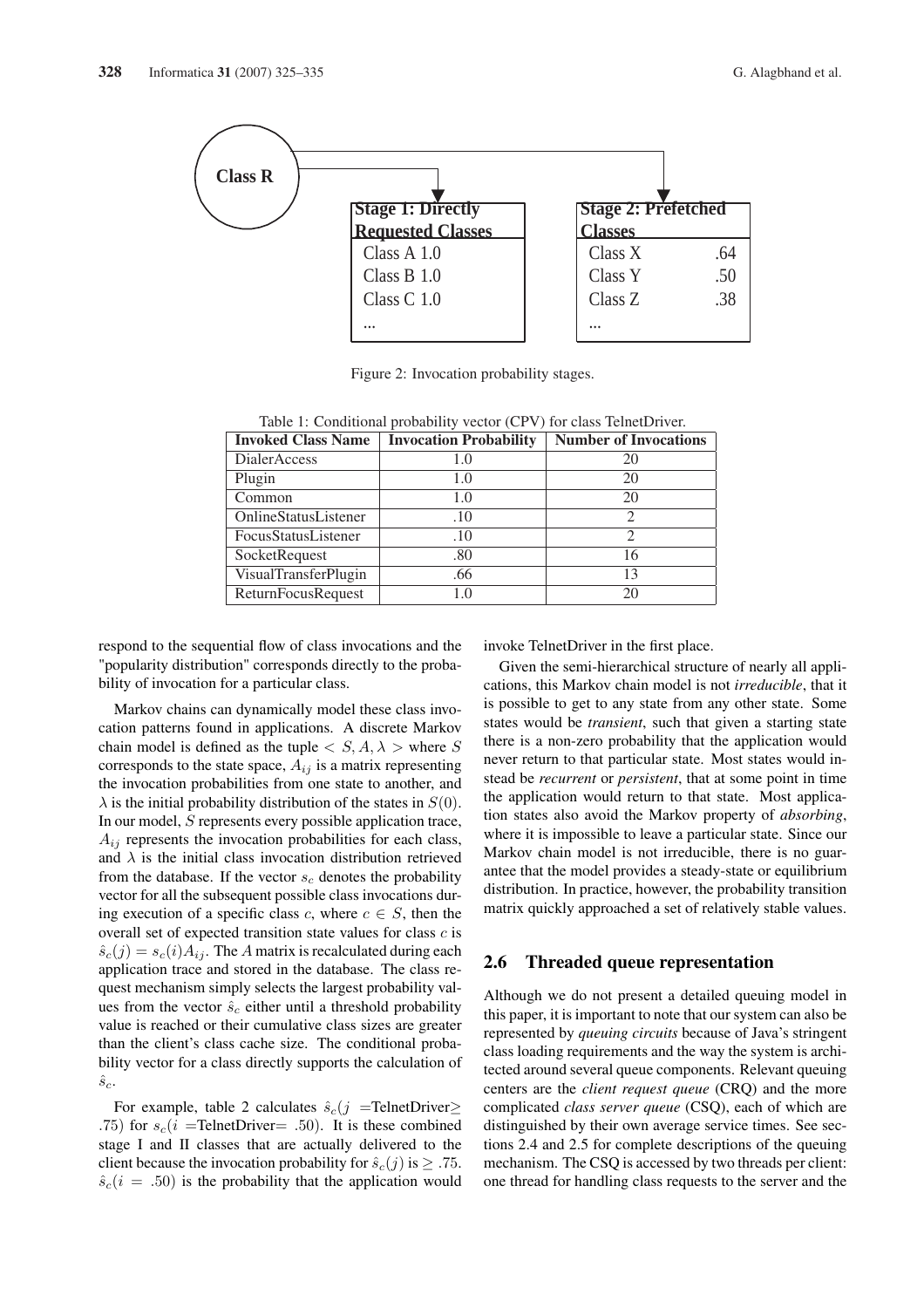

Figure 2: Invocation probability stages.

| <b>Invoked Class Name</b> | <b>Invocation Probability</b> | <b>Number of Invocations</b> |  |
|---------------------------|-------------------------------|------------------------------|--|
| <b>DialerAccess</b>       | 1.0                           | 20                           |  |
| Plugin                    | 1.0                           | 20                           |  |
| Common                    | 1.0                           | 20                           |  |
| OnlineStatusListener      | .10                           | $\overline{c}$               |  |
| FocusStatusListener       | .10                           | 2                            |  |
| SocketRequest             | .80                           | 16                           |  |
| VisualTransferPlugin      | .66                           | 13                           |  |
| ReturnFocusRequest        | 1.0                           | 20                           |  |

Table 1: Conditional probability vector (CPV) for class TelnetDriver.

respond to the sequential flow of class invocations and the "popularity distribution" corresponds directly to the probability of invocation for a particular class.

Markov chains can dynamically model these class invocation patterns found in applications. A discrete Markov chain model is defined as the tuple  $\langle S, A, \lambda \rangle$  where S corresponds to the state space,  $A_{ij}$  is a matrix representing the invocation probabilities from one state to another, and  $\lambda$  is the initial probability distribution of the states in  $S(0)$ . In our model, S represents every possible application trace,  $A_{ij}$  represents the invocation probabilities for each class, and  $\lambda$  is the initial class invocation distribution retrieved from the database. If the vector  $s_c$  denotes the probability vector for all the subsequent possible class invocations during execution of a specific class c, where  $c \in S$ , then the overall set of expected transition state values for class  $c$  is  $\hat{s}_c(j) = s_c(i)A_{ij}$ . The A matrix is recalculated during each application trace and stored in the database. The class request mechanism simply selects the largest probability values from the vector  $\hat{s}_c$  either until a threshold probability value is reached or their cumulative class sizes are greater than the client's class cache size. The conditional probability vector for a class directly supports the calculation of  $\hat{s}_{c}$ .

For example, table 2 calculates  $\hat{s}_c(j)$  =TelnetDriver≥ .75) for  $s_c(i)$  =TelnetDriver= .50). It is these combined stage I and II classes that are actually delivered to the client because the invocation probability for  $\hat{s}_c(j)$  is  $\geq$  .75.  $\hat{s}_c(i = .50)$  is the probability that the application would invoke TelnetDriver in the first place.

Given the semi-hierarchical structure of nearly all applications, this Markov chain model is not *irreducible*, that it is possible to get to any state from any other state. Some states would be *transient*, such that given a starting state there is a non-zero probability that the application would never return to that particular state. Most states would instead be *recurrent* or *persistent*, that at some point in time the application would return to that state. Most application states also avoid the Markov property of *absorbing*, where it is impossible to leave a particular state. Since our Markov chain model is not irreducible, there is no guarantee that the model provides a steady-state or equilibrium distribution. In practice, however, the probability transition matrix quickly approached a set of relatively stable values.

#### 2.6 Threaded queue representation

Although we do not present a detailed queuing model in this paper, it is important to note that our system can also be represented by *queuing circuits* because of Java's stringent class loading requirements and the way the system is architected around several queue components. Relevant queuing centers are the *client request queue* (CRQ) and the more complicated *class server queue* (CSQ), each of which are distinguished by their own average service times. See sections 2.4 and 2.5 for complete descriptions of the queuing mechanism. The CSQ is accessed by two threads per client: one thread for handling class requests to the server and the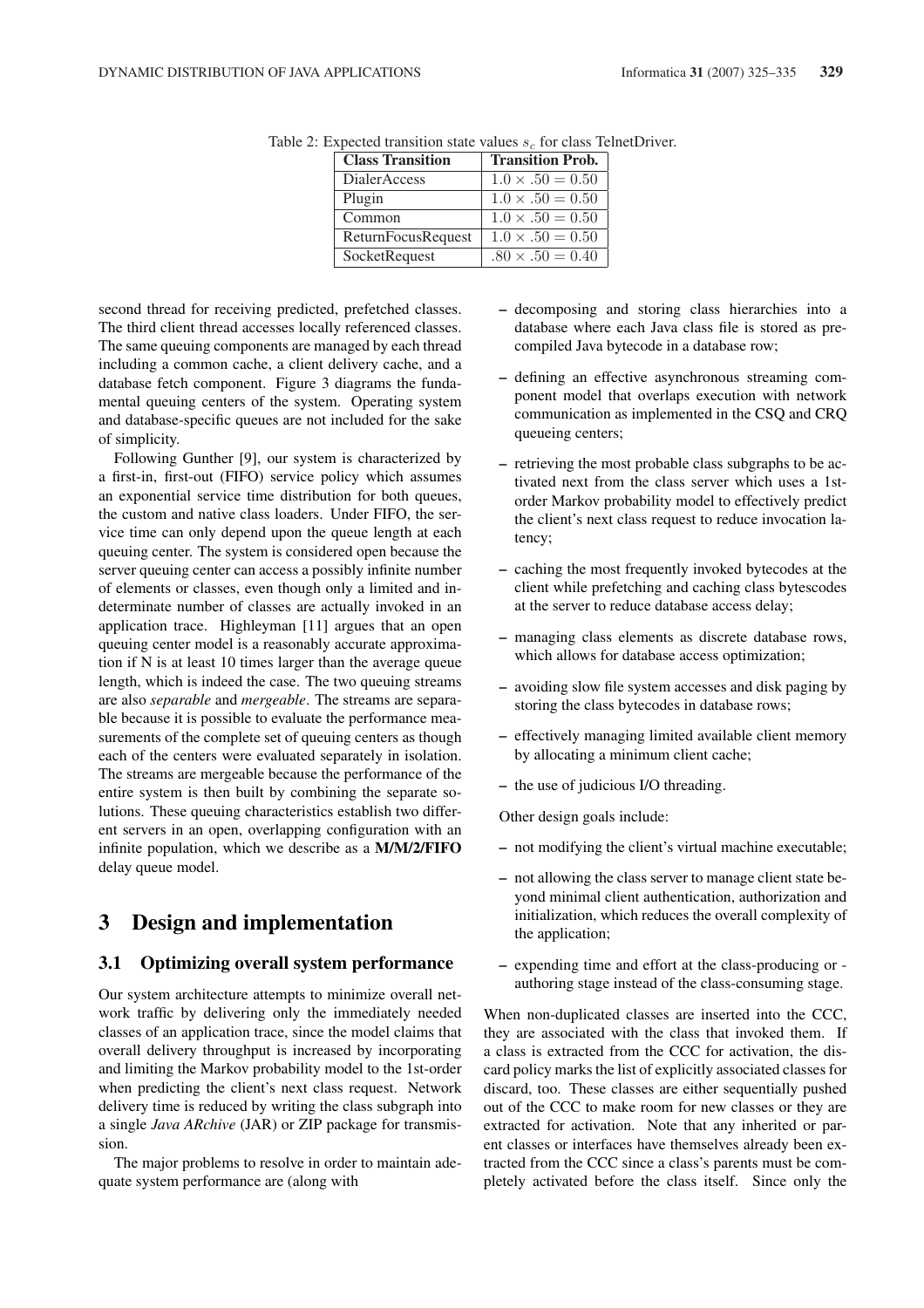| <b>Class Transition</b> | <b>Transition Prob.</b>  |
|-------------------------|--------------------------|
| DialerAccess            | $1.0 \times 0.50 = 0.50$ |
| Plugin                  | $1.0 \times .50 = 0.50$  |
| Common                  | $1.0 \times 0.50 = 0.50$ |
| ReturnFocusRequest      | $1.0 \times .50 = 0.50$  |
| SocketRequest           | $.80 \times .50 = 0.40$  |

Table 2: Expected transition state values  $s_c$  for class TelnetDriver.

second thread for receiving predicted, prefetched classes. The third client thread accesses locally referenced classes. The same queuing components are managed by each thread including a common cache, a client delivery cache, and a database fetch component. Figure 3 diagrams the fundamental queuing centers of the system. Operating system and database-specific queues are not included for the sake of simplicity.

Following Gunther [9], our system is characterized by a first-in, first-out (FIFO) service policy which assumes an exponential service time distribution for both queues, the custom and native class loaders. Under FIFO, the service time can only depend upon the queue length at each queuing center. The system is considered open because the server queuing center can access a possibly infinite number of elements or classes, even though only a limited and indeterminate number of classes are actually invoked in an application trace. Highleyman [11] argues that an open queuing center model is a reasonably accurate approximation if N is at least 10 times larger than the average queue length, which is indeed the case. The two queuing streams are also *separable* and *mergeable*. The streams are separable because it is possible to evaluate the performance measurements of the complete set of queuing centers as though each of the centers were evaluated separately in isolation. The streams are mergeable because the performance of the entire system is then built by combining the separate solutions. These queuing characteristics establish two different servers in an open, overlapping configuration with an infinite population, which we describe as a M/M/2/FIFO delay queue model.

## 3 Design and implementation

#### 3.1 Optimizing overall system performance

Our system architecture attempts to minimize overall network traffic by delivering only the immediately needed classes of an application trace, since the model claims that overall delivery throughput is increased by incorporating and limiting the Markov probability model to the 1st-order when predicting the client's next class request. Network delivery time is reduced by writing the class subgraph into a single *Java ARchive* (JAR) or ZIP package for transmission.

The major problems to resolve in order to maintain adequate system performance are (along with

- decomposing and storing class hierarchies into a database where each Java class file is stored as precompiled Java bytecode in a database row;
- defining an effective asynchronous streaming component model that overlaps execution with network communication as implemented in the CSQ and CRQ queueing centers;
- retrieving the most probable class subgraphs to be activated next from the class server which uses a 1storder Markov probability model to effectively predict the client's next class request to reduce invocation latency;
- caching the most frequently invoked bytecodes at the client while prefetching and caching class bytescodes at the server to reduce database access delay;
- managing class elements as discrete database rows, which allows for database access optimization;
- avoiding slow file system accesses and disk paging by storing the class bytecodes in database rows;
- effectively managing limited available client memory by allocating a minimum client cache;
- the use of judicious I/O threading.

Other design goals include:

- not modifying the client's virtual machine executable;
- not allowing the class server to manage client state beyond minimal client authentication, authorization and initialization, which reduces the overall complexity of the application;
- expending time and effort at the class-producing or authoring stage instead of the class-consuming stage.

When non-duplicated classes are inserted into the CCC, they are associated with the class that invoked them. If a class is extracted from the CCC for activation, the discard policy marks the list of explicitly associated classes for discard, too. These classes are either sequentially pushed out of the CCC to make room for new classes or they are extracted for activation. Note that any inherited or parent classes or interfaces have themselves already been extracted from the CCC since a class's parents must be completely activated before the class itself. Since only the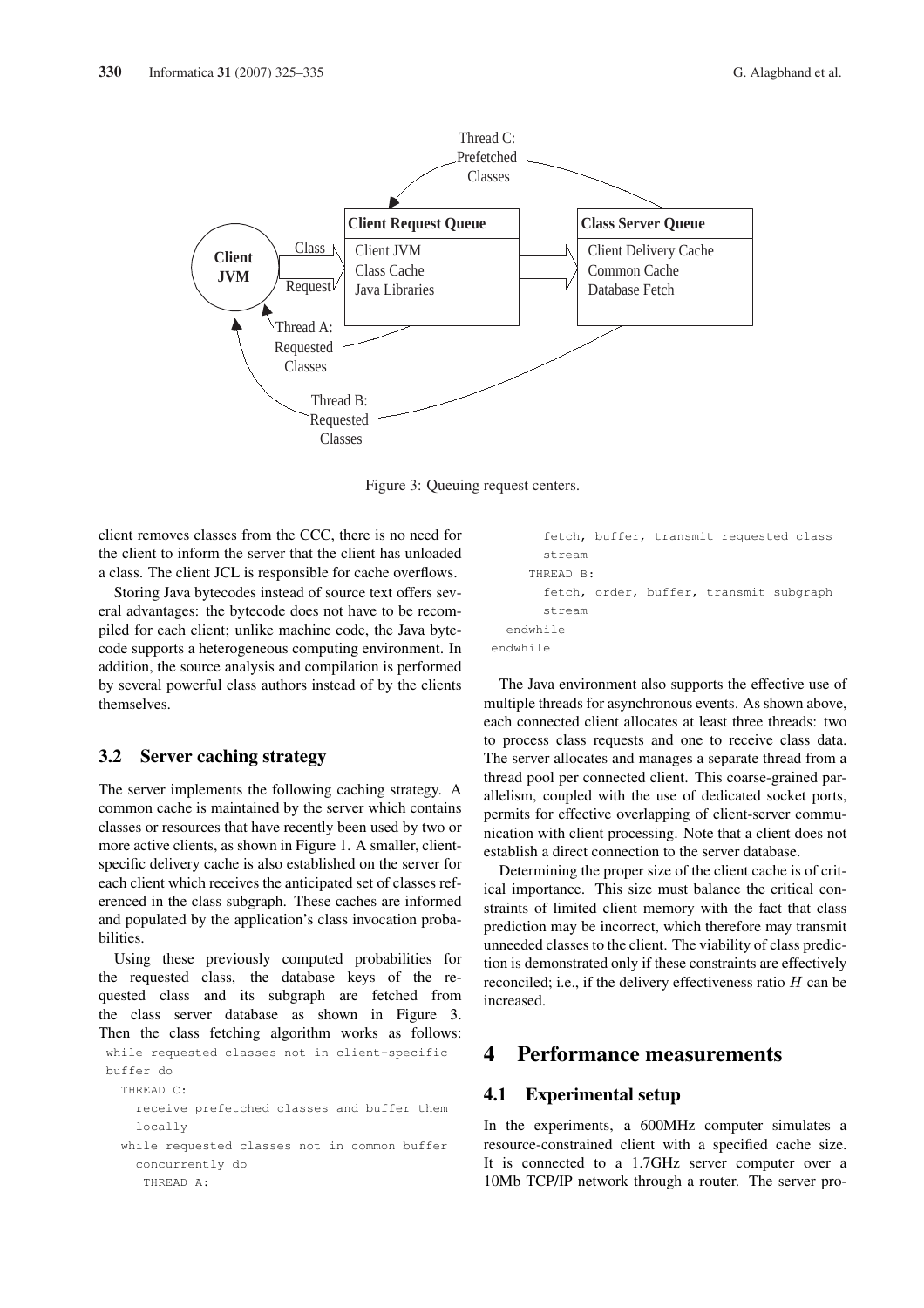

Figure 3: Queuing request centers.

client removes classes from the CCC, there is no need for the client to inform the server that the client has unloaded a class. The client JCL is responsible for cache overflows.

Storing Java bytecodes instead of source text offers several advantages: the bytecode does not have to be recompiled for each client; unlike machine code, the Java bytecode supports a heterogeneous computing environment. In addition, the source analysis and compilation is performed by several powerful class authors instead of by the clients themselves.

### 3.2 Server caching strategy

The server implements the following caching strategy. A common cache is maintained by the server which contains classes or resources that have recently been used by two or more active clients, as shown in Figure 1. A smaller, clientspecific delivery cache is also established on the server for each client which receives the anticipated set of classes referenced in the class subgraph. These caches are informed and populated by the application's class invocation probabilities.

Using these previously computed probabilities for the requested class, the database keys of the requested class and its subgraph are fetched from the class server database as shown in Figure 3. Then the class fetching algorithm works as follows:

```
while requested classes not in client-specific
buffer do
  THREAD C:
    receive prefetched classes and buffer them
    locally
  while requested classes not in common buffer
    concurrently do
     THREAD A:
```

```
fetch, buffer, transmit requested class
       stream
     THREAD B:
       fetch, order, buffer, transmit subgraph
       stream
  endwhile
endwhile
```
The Java environment also supports the effective use of multiple threads for asynchronous events. As shown above, each connected client allocates at least three threads: two to process class requests and one to receive class data. The server allocates and manages a separate thread from a thread pool per connected client. This coarse-grained parallelism, coupled with the use of dedicated socket ports, permits for effective overlapping of client-server communication with client processing. Note that a client does not establish a direct connection to the server database.

Determining the proper size of the client cache is of critical importance. This size must balance the critical constraints of limited client memory with the fact that class prediction may be incorrect, which therefore may transmit unneeded classes to the client. The viability of class prediction is demonstrated only if these constraints are effectively reconciled; i.e., if the delivery effectiveness ratio  $H$  can be increased.

### 4 Performance measurements

### 4.1 Experimental setup

In the experiments, a 600MHz computer simulates a resource-constrained client with a specified cache size. It is connected to a 1.7GHz server computer over a 10Mb TCP/IP network through a router. The server pro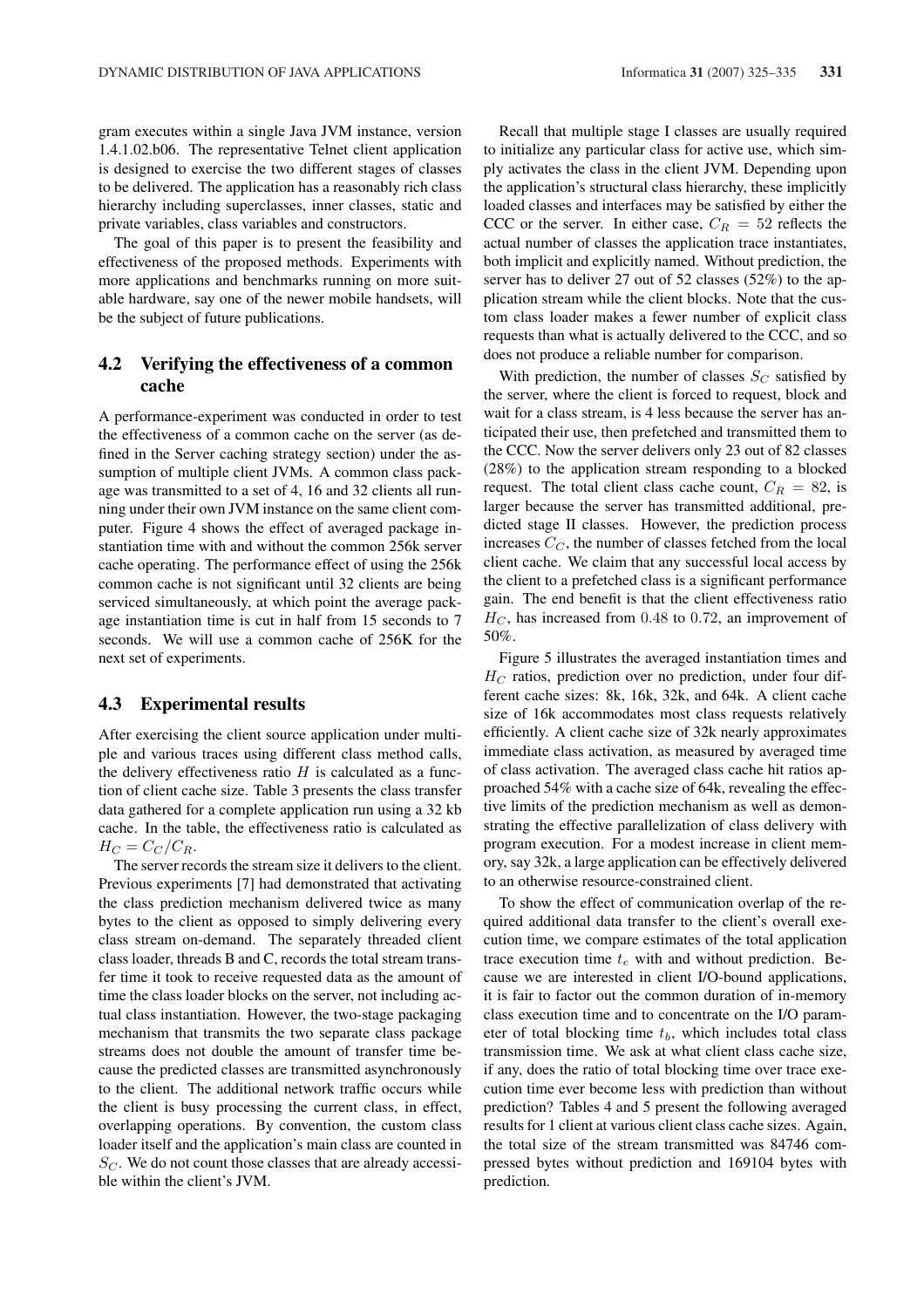gram executes within a single Java JVM instance, version 1.4.1.02.b06. The representative Telnet client application is designed to exercise the two different stages of classes to be delivered. The application has a reasonably rich class hierarchy including superclasses, inner classes, static and private variables, class variables and constructors.

The goal of this paper is to present the feasibility and effectiveness of the proposed methods. Experiments with more applications and benchmarks running on more suitable hardware, say one of the newer mobile handsets, will be the subject of future publications.

### 4.2 Verifying the effectiveness of a common cache

A performance-experiment was conducted in order to test the effectiveness of a common cache on the server (as defined in the Server caching strategy section) under the assumption of multiple client JVMs. A common class package was transmitted to a set of 4, 16 and 32 clients all running under their own JVM instance on the same client computer. Figure 4 shows the effect of averaged package instantiation time with and without the common 256k server cache operating. The performance effect of using the 256k common cache is not significant until 32 clients are being serviced simultaneously, at which point the average package instantiation time is cut in half from 15 seconds to 7 seconds. We will use a common cache of 256K for the next set of experiments.

#### 4.3 Experimental results

After exercising the client source application under multiple and various traces using different class method calls, the delivery effectiveness ratio  $H$  is calculated as a function of client cache size. Table 3 presents the class transfer data gathered for a complete application run using a 32 kb cache. In the table, the effectiveness ratio is calculated as  $H_C = C_C/C_R.$ 

The server records the stream size it delivers to the client. Previous experiments [7] had demonstrated that activating the class prediction mechanism delivered twice as many bytes to the client as opposed to simply delivering every class stream on-demand. The separately threaded client class loader, threads B and C, records the total stream transfer time it took to receive requested data as the amount of time the class loader blocks on the server, not including actual class instantiation. However, the two-stage packaging mechanism that transmits the two separate class package streams does not double the amount of transfer time because the predicted classes are transmitted asynchronously to the client. The additional network traffic occurs while the client is busy processing the current class, in effect, overlapping operations. By convention, the custom class loader itself and the application's main class are counted in  $S_C$ . We do not count those classes that are already accessible within the client's JVM.

Recall that multiple stage I classes are usually required to initialize any particular class for active use, which simply activates the class in the client JVM. Depending upon the application's structural class hierarchy, these implicitly loaded classes and interfaces may be satisfied by either the CCC or the server. In either case,  $C_R = 52$  reflects the actual number of classes the application trace instantiates, both implicit and explicitly named. Without prediction, the server has to deliver 27 out of 52 classes (52%) to the application stream while the client blocks. Note that the custom class loader makes a fewer number of explicit class requests than what is actually delivered to the CCC, and so does not produce a reliable number for comparison.

With prediction, the number of classes  $S_C$  satisfied by the server, where the client is forced to request, block and wait for a class stream, is 4 less because the server has anticipated their use, then prefetched and transmitted them to the CCC. Now the server delivers only 23 out of 82 classes (28%) to the application stream responding to a blocked request. The total client class cache count,  $C_R = 82$ , is larger because the server has transmitted additional, predicted stage II classes. However, the prediction process increases  $C_C$ , the number of classes fetched from the local client cache. We claim that any successful local access by the client to a prefetched class is a significant performance gain. The end benefit is that the client effectiveness ratio  $H_C$ , has increased from 0.48 to 0.72, an improvement of 50%.

Figure 5 illustrates the averaged instantiation times and  $H_C$  ratios, prediction over no prediction, under four different cache sizes: 8k, 16k, 32k, and 64k. A client cache size of 16k accommodates most class requests relatively efficiently. A client cache size of 32k nearly approximates immediate class activation, as measured by averaged time of class activation. The averaged class cache hit ratios approached 54% with a cache size of 64k, revealing the effective limits of the prediction mechanism as well as demonstrating the effective parallelization of class delivery with program execution. For a modest increase in client memory, say 32k, a large application can be effectively delivered to an otherwise resource-constrained client.

To show the effect of communication overlap of the required additional data transfer to the client's overall execution time, we compare estimates of the total application trace execution time  $t_e$  with and without prediction. Because we are interested in client I/O-bound applications, it is fair to factor out the common duration of in-memory class execution time and to concentrate on the I/O parameter of total blocking time  $t<sub>b</sub>$ , which includes total class transmission time. We ask at what client class cache size, if any, does the ratio of total blocking time over trace execution time ever become less with prediction than without prediction? Tables 4 and 5 present the following averaged results for 1 client at various client class cache sizes. Again, the total size of the stream transmitted was 84746 compressed bytes without prediction and 169104 bytes with prediction.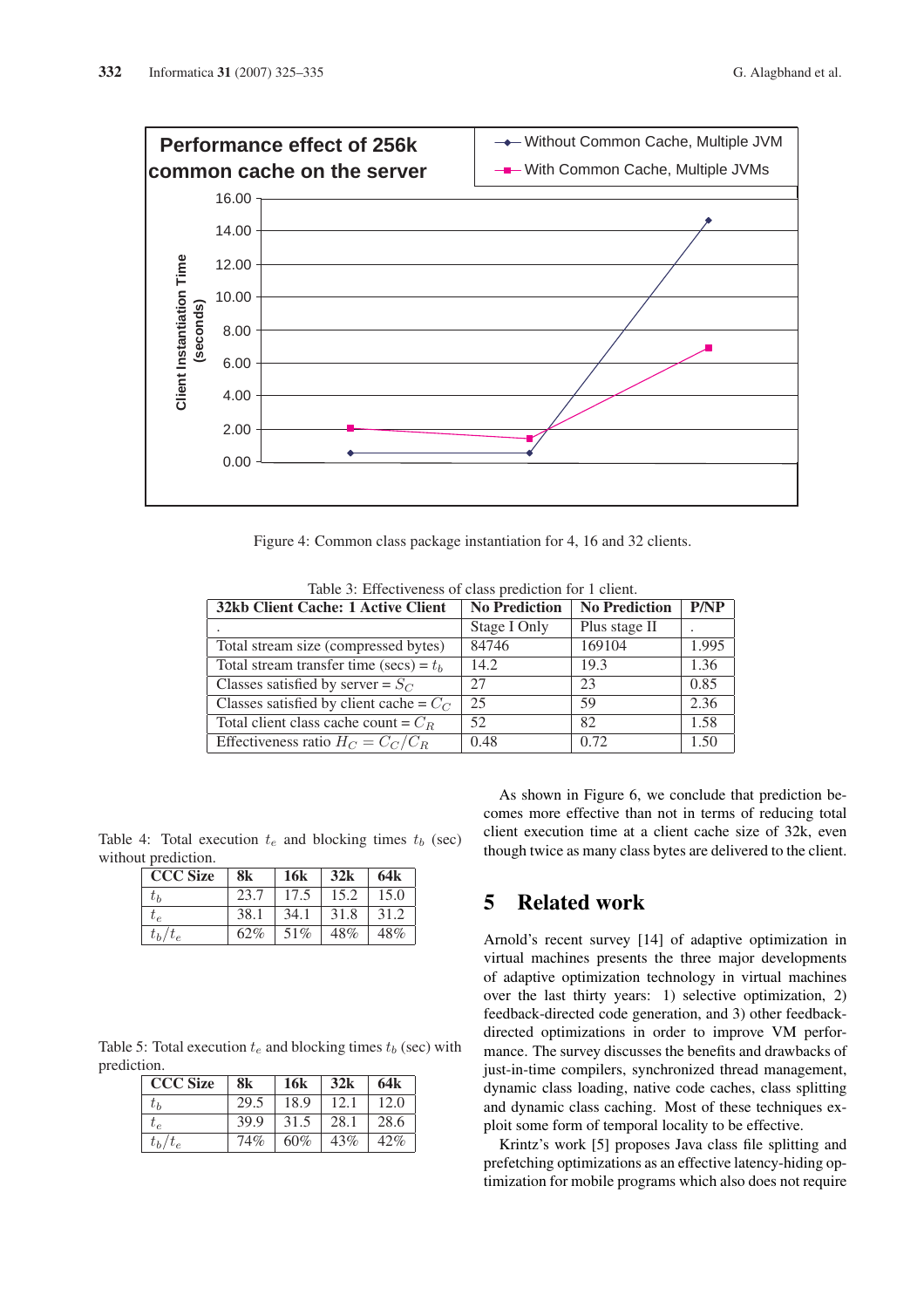

Figure 4: Common class package instantiation for 4, 16 and 32 clients.

| 32kb Client Cache: 1 Active Client        | <b>No Prediction</b> | <b>No Prediction</b> | P/NP  |
|-------------------------------------------|----------------------|----------------------|-------|
|                                           | Stage I Only         | Plus stage II        |       |
| Total stream size (compressed bytes)      | 84746                | 169104               | 1.995 |
| Total stream transfer time (secs) = $t_b$ | 14.2                 | 19.3                 | 1.36  |
| Classes satisfied by server = $S_C$       | 27                   | 23                   | 0.85  |
| Classes satisfied by client cache = $C_C$ | 25                   | 59                   | 2.36  |
| Total client class cache count = $C_R$    | 52                   | 82                   | 1.58  |
| Effectiveness ratio $H_C = C_C/C_R$       | 0.48                 | 0.72                 | 1.50  |

Table 3: Effectiveness of class prediction for 1 client.

Table 4: Total execution  $t_e$  and blocking times  $t_b$  (sec) without prediction.

| <b>CCC Size</b>  | 8k   | <b>16k</b> | 32k  | 64 <sub>k</sub> |
|------------------|------|------------|------|-----------------|
| tь               | 23.7 | 17.5       | 15.2 | 15.0            |
| $\overline{t}_P$ | 38.1 | 34.1       | 31.8 | 31.2            |
| $t_b/t_e$        | 62%  | 51%        | 48%  | 48%             |

Table 5: Total execution  $t_e$  and blocking times  $t_b$  (sec) with prediction.

| <b>CCC Size</b>  | 8k   | <b>16k</b> | 32k  | 64k  |
|------------------|------|------------|------|------|
| tь               | 29.5 | 18.9       | 12.1 | 12.0 |
| $\overline{t}_e$ | 39.9 | 31.5       | 28.1 | 28.6 |
| $t_b/t_e$        | 74%  | 60%        | 43%  | 42%  |

As shown in Figure 6, we conclude that prediction becomes more effective than not in terms of reducing total client execution time at a client cache size of 32k, even though twice as many class bytes are delivered to the client.

# 5 Related work

Arnold's recent survey [14] of adaptive optimization in virtual machines presents the three major developments of adaptive optimization technology in virtual machines over the last thirty years: 1) selective optimization, 2) feedback-directed code generation, and 3) other feedbackdirected optimizations in order to improve VM performance. The survey discusses the benefits and drawbacks of just-in-time compilers, synchronized thread management, dynamic class loading, native code caches, class splitting and dynamic class caching. Most of these techniques exploit some form of temporal locality to be effective.

Krintz's work [5] proposes Java class file splitting and prefetching optimizations as an effective latency-hiding optimization for mobile programs which also does not require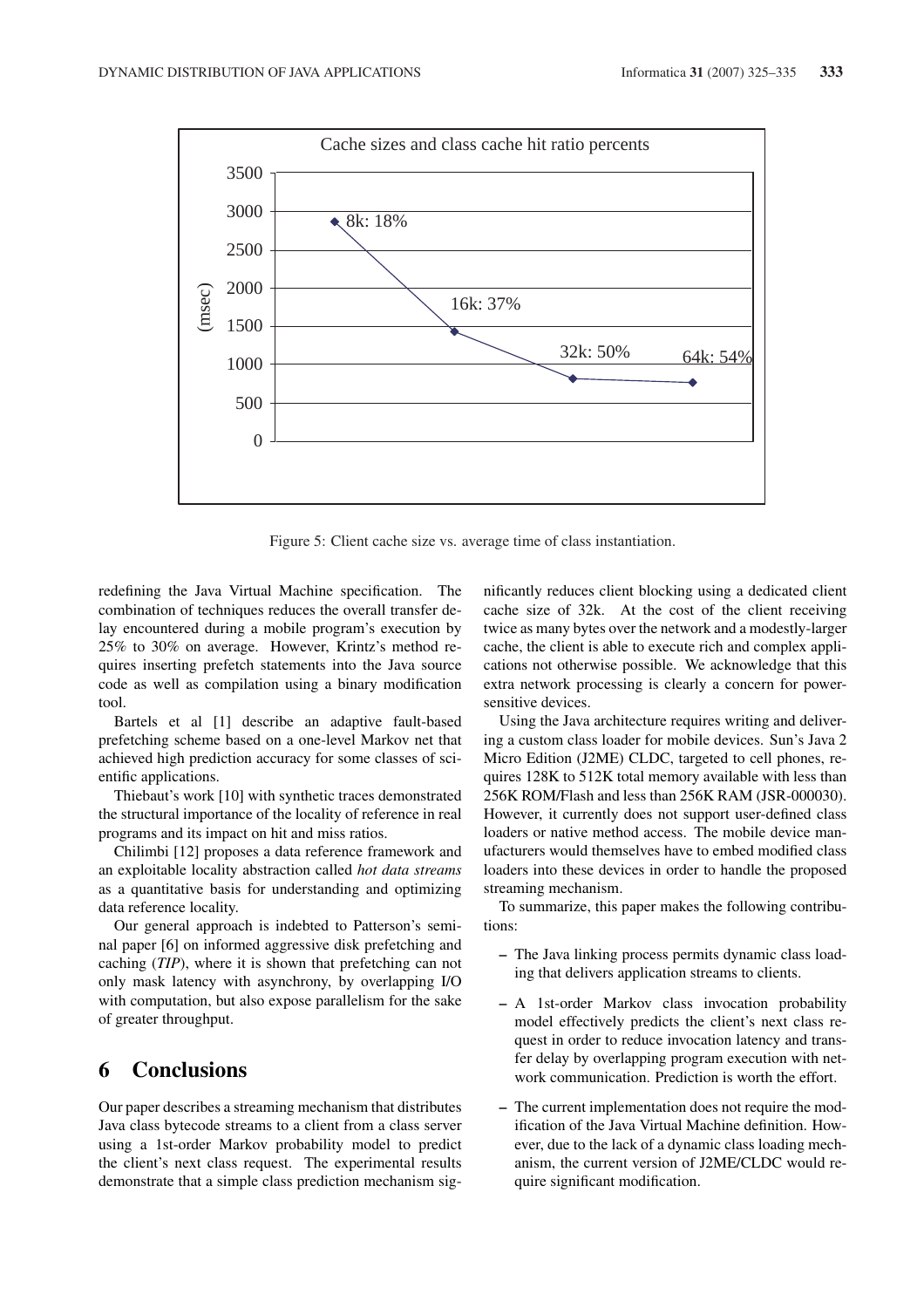

Figure 5: Client cache size vs. average time of class instantiation.

redefining the Java Virtual Machine specification. The combination of techniques reduces the overall transfer delay encountered during a mobile program's execution by 25% to 30% on average. However, Krintz's method requires inserting prefetch statements into the Java source code as well as compilation using a binary modification tool.

Bartels et al [1] describe an adaptive fault-based prefetching scheme based on a one-level Markov net that achieved high prediction accuracy for some classes of scientific applications.

Thiebaut's work [10] with synthetic traces demonstrated the structural importance of the locality of reference in real programs and its impact on hit and miss ratios.

Chilimbi [12] proposes a data reference framework and an exploitable locality abstraction called *hot data streams* as a quantitative basis for understanding and optimizing data reference locality.

Our general approach is indebted to Patterson's seminal paper [6] on informed aggressive disk prefetching and caching (*TIP*), where it is shown that prefetching can not only mask latency with asynchrony, by overlapping I/O with computation, but also expose parallelism for the sake of greater throughput.

# 6 Conclusions

Our paper describes a streaming mechanism that distributes Java class bytecode streams to a client from a class server using a 1st-order Markov probability model to predict the client's next class request. The experimental results demonstrate that a simple class prediction mechanism significantly reduces client blocking using a dedicated client cache size of 32k. At the cost of the client receiving twice as many bytes over the network and a modestly-larger cache, the client is able to execute rich and complex applications not otherwise possible. We acknowledge that this extra network processing is clearly a concern for powersensitive devices.

Using the Java architecture requires writing and delivering a custom class loader for mobile devices. Sun's Java 2 Micro Edition (J2ME) CLDC, targeted to cell phones, requires 128K to 512K total memory available with less than 256K ROM/Flash and less than 256K RAM (JSR-000030). However, it currently does not support user-defined class loaders or native method access. The mobile device manufacturers would themselves have to embed modified class loaders into these devices in order to handle the proposed streaming mechanism.

To summarize, this paper makes the following contributions:

- The Java linking process permits dynamic class loading that delivers application streams to clients.
- A 1st-order Markov class invocation probability model effectively predicts the client's next class request in order to reduce invocation latency and transfer delay by overlapping program execution with network communication. Prediction is worth the effort.
- The current implementation does not require the modification of the Java Virtual Machine definition. However, due to the lack of a dynamic class loading mechanism, the current version of J2ME/CLDC would require significant modification.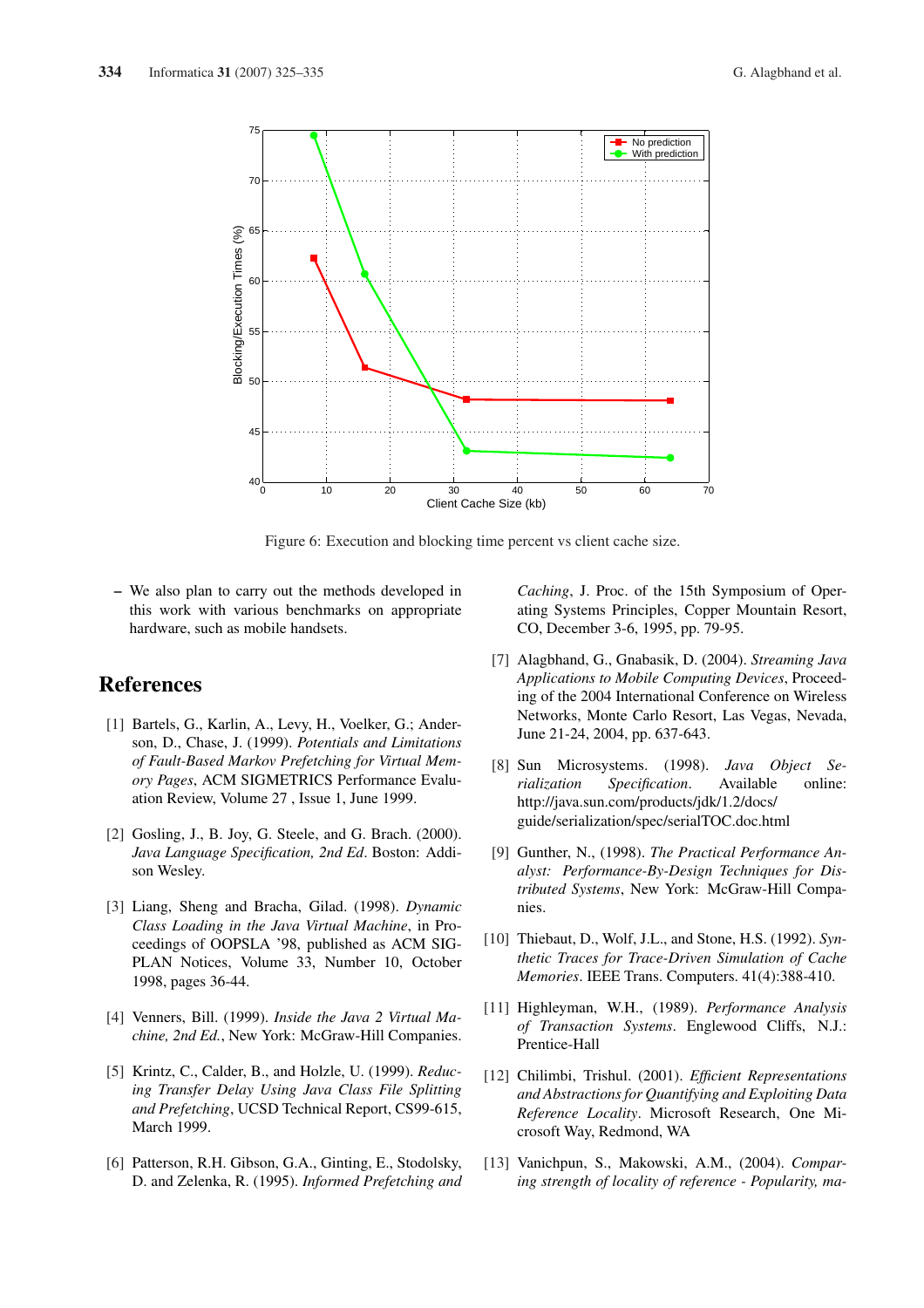

Figure 6: Execution and blocking time percent vs client cache size.

– We also plan to carry out the methods developed in this work with various benchmarks on appropriate hardware, such as mobile handsets.

# **References**

- [1] Bartels, G., Karlin, A., Levy, H., Voelker, G.; Anderson, D., Chase, J. (1999). *Potentials and Limitations of Fault-Based Markov Prefetching for Virtual Memory Pages*, ACM SIGMETRICS Performance Evaluation Review, Volume 27 , Issue 1, June 1999.
- [2] Gosling, J., B. Joy, G. Steele, and G. Brach. (2000). *Java Language Specification, 2nd Ed*. Boston: Addison Wesley.
- [3] Liang, Sheng and Bracha, Gilad. (1998). *Dynamic Class Loading in the Java Virtual Machine*, in Proceedings of OOPSLA '98, published as ACM SIG-PLAN Notices, Volume 33, Number 10, October 1998, pages 36-44.
- [4] Venners, Bill. (1999). *Inside the Java 2 Virtual Machine, 2nd Ed.*, New York: McGraw-Hill Companies.
- [5] Krintz, C., Calder, B., and Holzle, U. (1999). *Reducing Transfer Delay Using Java Class File Splitting and Prefetching*, UCSD Technical Report, CS99-615, March 1999.
- [6] Patterson, R.H. Gibson, G.A., Ginting, E., Stodolsky, D. and Zelenka, R. (1995). *Informed Prefetching and*

*Caching*, J. Proc. of the 15th Symposium of Operating Systems Principles, Copper Mountain Resort, CO, December 3-6, 1995, pp. 79-95.

- [7] Alagbhand, G., Gnabasik, D. (2004). *Streaming Java Applications to Mobile Computing Devices*, Proceeding of the 2004 International Conference on Wireless Networks, Monte Carlo Resort, Las Vegas, Nevada, June 21-24, 2004, pp. 637-643.
- [8] Sun Microsystems. (1998). *Java Object Serialization Specification*. Available online: http://java.sun.com/products/jdk/1.2/docs/ guide/serialization/spec/serialTOC.doc.html
- [9] Gunther, N., (1998). *The Practical Performance Analyst: Performance-By-Design Techniques for Distributed Systems*, New York: McGraw-Hill Companies.
- [10] Thiebaut, D., Wolf, J.L., and Stone, H.S. (1992). *Synthetic Traces for Trace-Driven Simulation of Cache Memories*. IEEE Trans. Computers. 41(4):388-410.
- [11] Highleyman, W.H., (1989). *Performance Analysis of Transaction Systems*. Englewood Cliffs, N.J.: Prentice-Hall
- [12] Chilimbi, Trishul. (2001). *Efficient Representations and Abstractions for Quantifying and Exploiting Data Reference Locality*. Microsoft Research, One Microsoft Way, Redmond, WA
- [13] Vanichpun, S., Makowski, A.M., (2004). *Comparing strength of locality of reference - Popularity, ma-*